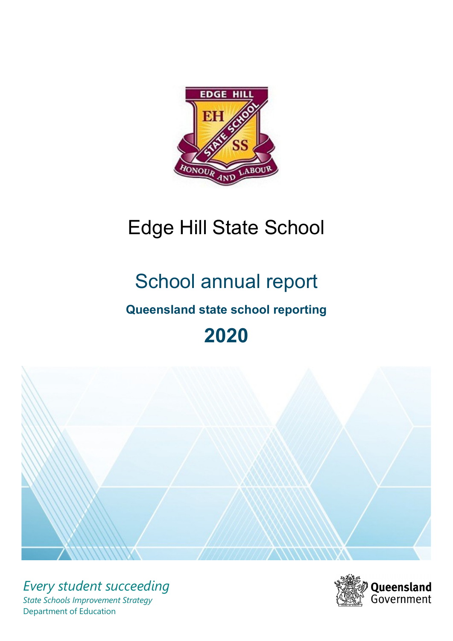

# Edge Hill State School

# School annual report

# **Queensland state school reporting**

# **2020**



*Every student succeeding State Schools Improvement Strategy* Department of Education

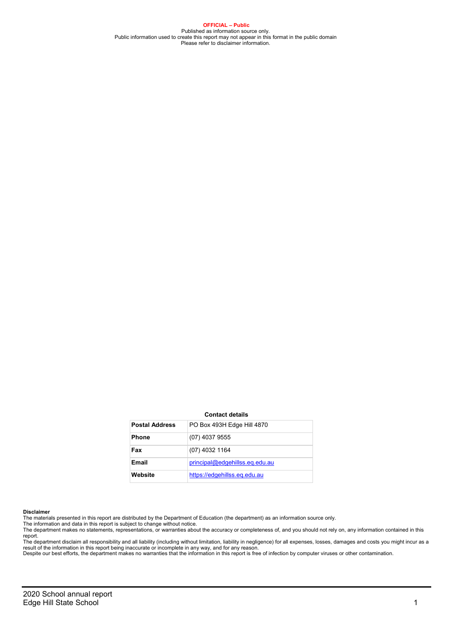**OFFICIAL – Public** Published as information source only. Public information used to create this report may not appear in this format in the public domain Please refer to disclaimer information.

#### **Contact details**

| <b>Postal Address</b> | PO Box 493H Edge Hill 4870     |
|-----------------------|--------------------------------|
| <b>Phone</b>          | (07) 4037 9555                 |
| Fax                   | (07) 4032 1164                 |
| Email                 | principal@edgehillss.eq.edu.au |
| Website               | https://edgehillss.eg.edu.au   |

#### **Disclaimer**

The materials presented in this report are distributed by the Department of Education (the department) as an information source only.<br>The information and data in this report is subject to change without notice.

The department makes no statements, representations, or warranties about the accuracy or completeness of, and you should not rely on, any information contained in this

report.<br>The department disclaim all responsibility and all liability (including without limitation, liability in negligence) for all expenses, losses, damages and costs you might incur as a<br>result of the information in thi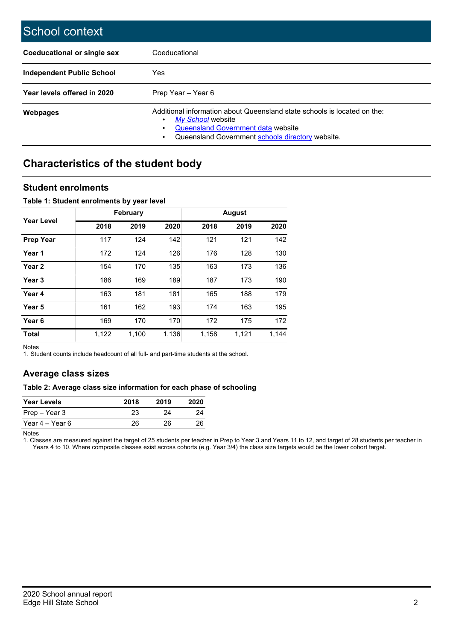| School context              |                                                                                                                                                                                                |
|-----------------------------|------------------------------------------------------------------------------------------------------------------------------------------------------------------------------------------------|
| Coeducational or single sex | Coeducational                                                                                                                                                                                  |
| Independent Public School   | Yes                                                                                                                                                                                            |
| Year levels offered in 2020 | Prep Year - Year 6                                                                                                                                                                             |
| Webpages                    | Additional information about Queensland state schools is located on the:<br>My School website<br><b>Queensland Government data website</b><br>Queensland Government schools directory website. |

## **Characteristics of the student body**

## **Student enrolments**

#### **Table 1: Student enrolments by year level**

|                   |       | <b>February</b> |       |       | <b>August</b> |       |  |  |
|-------------------|-------|-----------------|-------|-------|---------------|-------|--|--|
| <b>Year Level</b> | 2018  | 2019            | 2020  | 2018  | 2019          | 2020  |  |  |
| <b>Prep Year</b>  | 117   | 124             | 142   | 121   | 121           | 142   |  |  |
| Year 1            | 172   | 124             | 126   | 176   | 128           | 130   |  |  |
| Year 2            | 154   | 170             | 135   | 163   | 173           | 136   |  |  |
| Year 3            | 186   | 169             | 189   | 187   | 173           | 190   |  |  |
| Year 4            | 163   | 181             | 181   | 165   | 188           | 179   |  |  |
| Year 5            | 161   | 162             | 193   | 174   | 163           | 195   |  |  |
| Year <sub>6</sub> | 169   | 170             | 170   | 172   | 175           | 172   |  |  |
| <b>Total</b>      | 1,122 | 1,100           | 1,136 | 1,158 | 1,121         | 1,144 |  |  |

Notes

1. Student counts include headcount of all full- and part-time students at the school.

## **Average class sizes**

### **Table 2: Average class size information for each phase of schooling**

| <b>Year Levels</b> | 2018 | 2019 | 2020 |
|--------------------|------|------|------|
| Prep – Year 3      | 23   | 24   | 24   |
| Year 4 – Year 6    | 26   | 26   | 26   |

Notes

1. Classes are measured against the target of 25 students per teacher in Prep to Year 3 and Years 11 to 12, and target of 28 students per teacher in Years 4 to 10. Where composite classes exist across cohorts (e.g. Year 3/4) the class size targets would be the lower cohort target.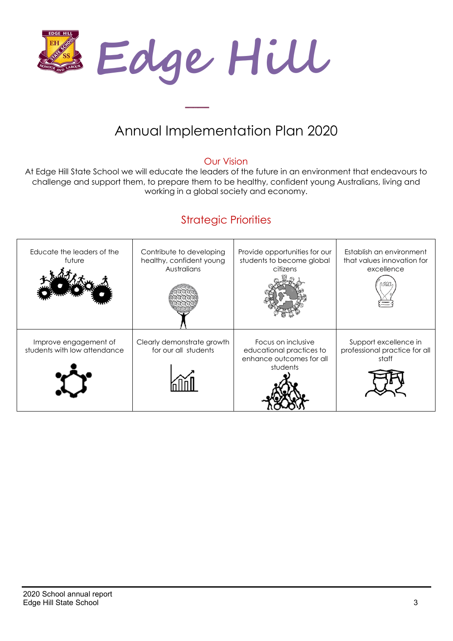

# Annual Implementation Plan 2020

## Our Vision

At Edge Hill State School we will educate the leaders of the future in an environment that endeavours to challenge and support them, to prepare them to be healthy, confident young Australians, living and working in a global society and economy.

# Strategic Priorities

| Educate the leaders of the<br>future                  | Contribute to developing<br>healthy, confident young<br>Australians | Provide opportunities for our<br>students to become global<br>citizens                 | Establish an environment<br>that values innovation for<br>excellence |
|-------------------------------------------------------|---------------------------------------------------------------------|----------------------------------------------------------------------------------------|----------------------------------------------------------------------|
| Improve engagement of<br>students with low attendance | Clearly demonstrate growth<br>for our all students                  | Focus on inclusive<br>educational practices to<br>enhance outcomes for all<br>students | Support excellence in<br>professional practice for all<br>staff      |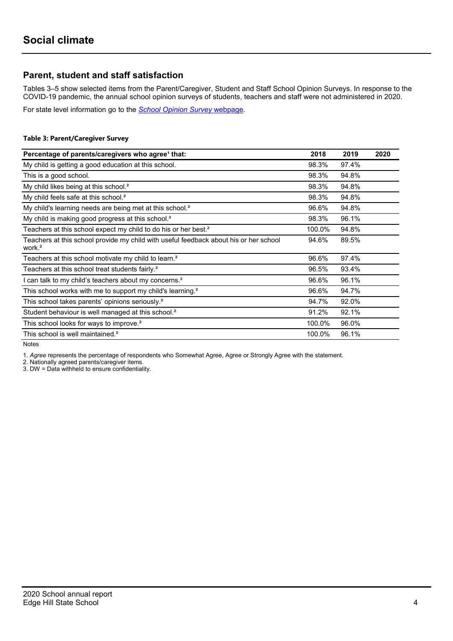## **Parent, student and staff satisfaction**

Tables 3–5 show selected items from the Parent/Caregiver, Student and Staff School Opinion Surveys. In response to the COVID-19 pandemic, the annual school opinion surveys of students, teachers and staff were not administered in 2020.

For state level information go to the *[School Opinion Survey](https://qed.qld.gov.au/publications/reports/statistics/schooling/schools/schoolopinionsurvey)* [webpage.](https://qed.qld.gov.au/publications/reports/statistics/schooling/schools/schoolopinionsurvey)

### **Table 3: Parent/Caregiver Survey**

| Percentage of parents/caregivers who agree <sup>1</sup> that:                                               | 2018   | 2019  | 2020 |
|-------------------------------------------------------------------------------------------------------------|--------|-------|------|
| My child is getting a good education at this school.                                                        | 98.3%  | 97.4% |      |
| This is a good school.                                                                                      | 98.3%  | 94.8% |      |
| My child likes being at this school. <sup>2</sup>                                                           | 98.3%  | 94.8% |      |
| My child feels safe at this school. <sup>2</sup>                                                            | 98.3%  | 94.8% |      |
| My child's learning needs are being met at this school. <sup>2</sup>                                        | 96.6%  | 94.8% |      |
| My child is making good progress at this school. <sup>2</sup>                                               | 98.3%  | 96.1% |      |
| Teachers at this school expect my child to do his or her best. <sup>2</sup>                                 | 100.0% | 94.8% |      |
| Teachers at this school provide my child with useful feedback about his or her school<br>work. <sup>2</sup> | 94.6%  | 89.5% |      |
| Teachers at this school motivate my child to learn. <sup>2</sup>                                            | 96.6%  | 97.4% |      |
| Teachers at this school treat students fairly. <sup>2</sup>                                                 | 96.5%  | 93.4% |      |
| I can talk to my child's teachers about my concerns. <sup>2</sup>                                           | 96.6%  | 96.1% |      |
| This school works with me to support my child's learning. <sup>2</sup>                                      | 96.6%  | 94.7% |      |
| This school takes parents' opinions seriously. <sup>2</sup>                                                 | 94.7%  | 92.0% |      |
| Student behaviour is well managed at this school. <sup>2</sup>                                              | 91.2%  | 92.1% |      |
| This school looks for ways to improve. <sup>2</sup>                                                         | 100.0% | 96.0% |      |
| This school is well maintained. <sup>2</sup>                                                                | 100.0% | 96.1% |      |

Notes

1. *Agree* represents the percentage of respondents who Somewhat Agree, Agree or Strongly Agree with the statement.

2. Nationally agreed parents/caregiver items.

3. DW = Data withheld to ensure confidentiality.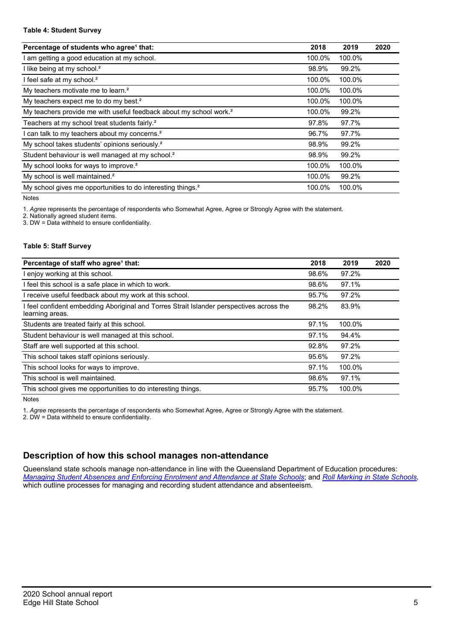#### **Table 4: Student Survey**

| Percentage of students who agree <sup>1</sup> that:                            | 2018   | 2019   | 2020 |
|--------------------------------------------------------------------------------|--------|--------|------|
| am getting a good education at my school.                                      | 100.0% | 100.0% |      |
| I like being at my school. <sup>2</sup>                                        | 98.9%  | 99.2%  |      |
| I feel safe at my school. <sup>2</sup>                                         | 100.0% | 100.0% |      |
| My teachers motivate me to learn. <sup>2</sup>                                 | 100.0% | 100.0% |      |
| My teachers expect me to do my best. <sup>2</sup>                              | 100.0% | 100.0% |      |
| My teachers provide me with useful feedback about my school work. <sup>2</sup> | 100.0% | 99.2%  |      |
| Teachers at my school treat students fairly. <sup>2</sup>                      | 97.8%  | 97.7%  |      |
| can talk to my teachers about my concerns. <sup>2</sup>                        | 96.7%  | 97.7%  |      |
| My school takes students' opinions seriously. <sup>2</sup>                     | 98.9%  | 99.2%  |      |
| Student behaviour is well managed at my school. <sup>2</sup>                   | 98.9%  | 99.2%  |      |
| My school looks for ways to improve. <sup>2</sup>                              | 100.0% | 100.0% |      |
| My school is well maintained. <sup>2</sup>                                     | 100.0% | 99.2%  |      |
| My school gives me opportunities to do interesting things. <sup>2</sup>        | 100.0% | 100.0% |      |

Notes

1. *Agree* represents the percentage of respondents who Somewhat Agree, Agree or Strongly Agree with the statement.

2. Nationally agreed student items.

3. DW = Data withheld to ensure confidentiality.

#### **Table 5: Staff Survey**

| Percentage of staff who agree <sup>1</sup> that:                                                          | 2018  | 2019   | 2020 |
|-----------------------------------------------------------------------------------------------------------|-------|--------|------|
| I enjoy working at this school.                                                                           | 98.6% | 97.2%  |      |
| I feel this school is a safe place in which to work.                                                      | 98.6% | 97.1%  |      |
| I receive useful feedback about my work at this school.                                                   | 95.7% | 97.2%  |      |
| feel confident embedding Aboriginal and Torres Strait Islander perspectives across the<br>learning areas. | 98.2% | 83.9%  |      |
| Students are treated fairly at this school.                                                               | 97.1% | 100.0% |      |
| Student behaviour is well managed at this school.                                                         | 97.1% | 94.4%  |      |
| Staff are well supported at this school.                                                                  | 92.8% | 97.2%  |      |
| This school takes staff opinions seriously.                                                               | 95.6% | 97.2%  |      |
| This school looks for ways to improve.                                                                    | 97.1% | 100.0% |      |
| This school is well maintained.                                                                           | 98.6% | 97.1%  |      |
| This school gives me opportunities to do interesting things.                                              | 95.7% | 100.0% |      |

Notes

1. *Agree* represents the percentage of respondents who Somewhat Agree, Agree or Strongly Agree with the statement.

2. DW = Data withheld to ensure confidentiality.

## **Description of how this school manages non-attendance**

Queensland state schools manage non-attendance in line with the Queensland Department of Education procedures: *[Managing Student Absences and Enforcing Enrolment and Attendance at State Schools](https://ppr.qed.qld.gov.au/pp/managing-student-absences-and-enforcing-enrolment-and-attendance-at-state-schools-procedure)*; and *[Roll Marking in State Schools,](https://ppr.qed.qld.gov.au/pp/roll-marking-in-state-schools-procedure)* which outline processes for managing and recording student attendance and absenteeism.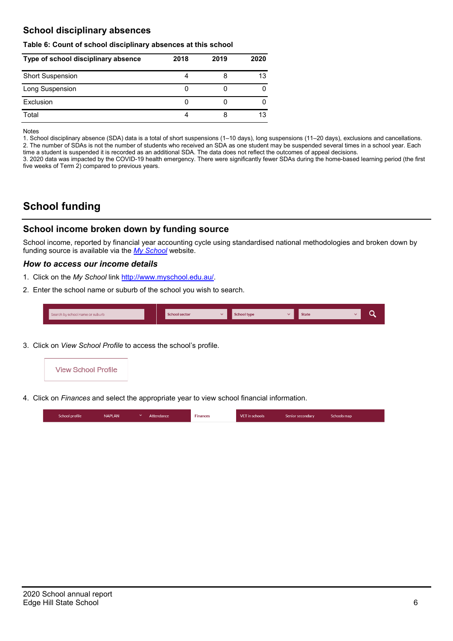## **School disciplinary absences**

#### **Table 6: Count of school disciplinary absences at this school**

| Type of school disciplinary absence | 2018 | 2019 | 2020 |
|-------------------------------------|------|------|------|
| <b>Short Suspension</b>             |      |      | 13   |
| Long Suspension                     |      |      |      |
| Exclusion                           | 0    |      |      |
| Total                               |      | 8    | 13   |

Notes

1. School disciplinary absence (SDA) data is a total of short suspensions (1–10 days), long suspensions (11–20 days), exclusions and cancellations. 2. The number of SDAs is not the number of students who received an SDA as one student may be suspended several times in a school year. Each time a student is suspended it is recorded as an additional SDA. The data does not reflect the outcomes of appeal decisions.

3. 2020 data was impacted by the COVID-19 health emergency. There were significantly fewer SDAs during the home-based learning period (the first five weeks of Term 2) compared to previous years.

## **School funding**

## **School income broken down by funding source**

School income, reported by financial year accounting cycle using standardised national methodologies and broken down by funding source is available via the *[My School](http://www.myschool.edu.au/)* website.

#### *How to access our income details*

- 1. Click on the *My School* link [http://www.myschool.edu.au/.](http://www.myschool.edu.au/)
- 2. Enter the school name or suburb of the school you wish to search.

| Search by school name or suburb | <b>School sector</b> | <b>School type</b><br>447 | <b>State</b> | ∽ |
|---------------------------------|----------------------|---------------------------|--------------|---|
|                                 |                      |                           |              |   |

3. Click on *View School Profile* to access the school's profile.



4. Click on *Finances* and select the appropriate year to view school financial information.

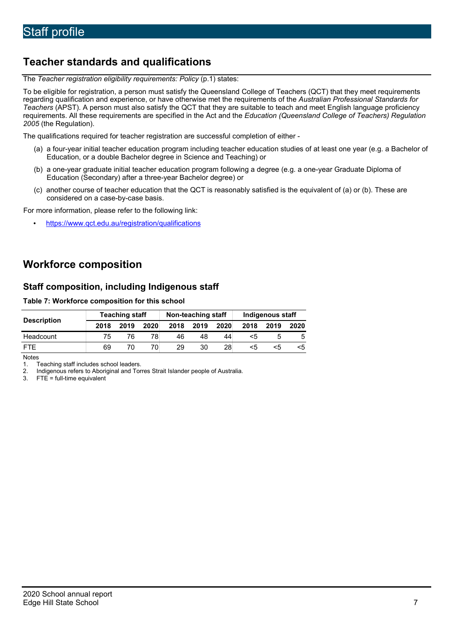# **Teacher standards and qualifications**

The *Teacher registration eligibility requirements: Policy* (p.1) states:

To be eligible for registration, a person must satisfy the Queensland College of Teachers (QCT) that they meet requirements regarding qualification and experience, or have otherwise met the requirements of the *Australian Professional Standards for Teachers* (APST). A person must also satisfy the QCT that they are suitable to teach and meet English language proficiency requirements. All these requirements are specified in the Act and the *Education (Queensland College of Teachers) Regulation 2005* (the Regulation).

The qualifications required for teacher registration are successful completion of either -

- (a) a four-year initial teacher education program including teacher education studies of at least one year (e.g. a Bachelor of Education, or a double Bachelor degree in Science and Teaching) or
- (b) a one-year graduate initial teacher education program following a degree (e.g. a one-year Graduate Diploma of Education (Secondary) after a three-year Bachelor degree) or
- (c) another course of teacher education that the QCT is reasonably satisfied is the equivalent of (a) or (b). These are considered on a case-by-case basis.

For more information, please refer to the following link:

• <https://www.qct.edu.au/registration/qualifications>

## **Workforce composition**

## **Staff composition, including Indigenous staff**

### **Table 7: Workforce composition for this school**

| <b>Description</b> |      | <b>Teaching staff</b> |      | Non-teaching staff |      |      | Indigenous staff |      |      |
|--------------------|------|-----------------------|------|--------------------|------|------|------------------|------|------|
|                    | 2018 | 2019                  | 2020 | 2018               | 2019 | 2020 | 2018             | 2019 | 2020 |
| Headcount          | 75   | 76                    | 78   | 46                 | 48   | 44 I | ה>               |      |      |
| <b>FTF</b>         | 69   |                       | 70.  | 29                 | 30   | 28   | <5               | <5   |      |

Notes<br>1

1. Teaching staff includes school leaders.<br>2. Indigenous refers to Aboriginal and Tor

2. Indigenous refers to Aboriginal and Torres Strait Islander people of Australia.<br>3. FTE = full-time equivalent

 $FTE = full-time equivalent$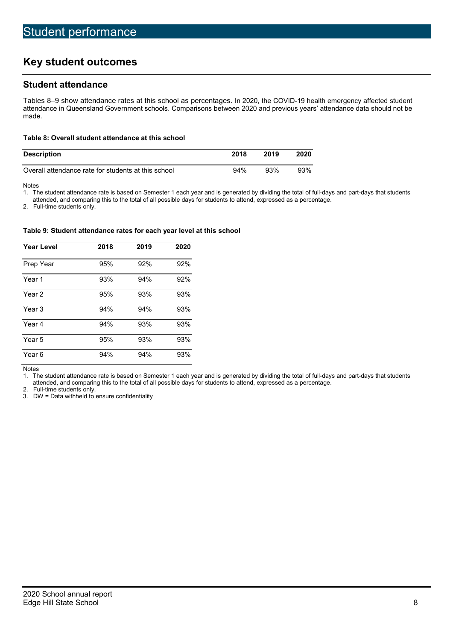# **Key student outcomes**

## **Student attendance**

Tables 8–9 show attendance rates at this school as percentages. In 2020, the COVID-19 health emergency affected student attendance in Queensland Government schools. Comparisons between 2020 and previous years' attendance data should not be made.

#### **Table 8: Overall student attendance at this school**

| <b>Description</b>                                  | 2018   | 2019 | 2020 |
|-----------------------------------------------------|--------|------|------|
| Overall attendance rate for students at this school | $94\%$ | 93%  | 93%  |

Notes<br>1. Th

The student attendance rate is based on Semester 1 each year and is generated by dividing the total of full-days and part-days that students

attended, and comparing this to the total of all possible days for students to attend, expressed as a percentage.

2. Full-time students only.

#### **Table 9: Student attendance rates for each year level at this school**

| <b>Year Level</b> | 2018 | 2019 | 2020 |
|-------------------|------|------|------|
| Prep Year         | 95%  | 92%  | 92%  |
| Year 1            | 93%  | 94%  | 92%  |
| Year 2            | 95%  | 93%  | 93%  |
| Year 3            | 94%  | 94%  | 93%  |
| Year 4            | 94%  | 93%  | 93%  |
| Year 5            | 95%  | 93%  | 93%  |
| Year 6            | 94%  | 94%  | 93%  |

Notes<br>1. Th

The student attendance rate is based on Semester 1 each year and is generated by dividing the total of full-days and part-days that students attended, and comparing this to the total of all possible days for students to attend, expressed as a percentage.

2. Full-time students only.

<sup>3.</sup> DW = Data withheld to ensure confidentiality